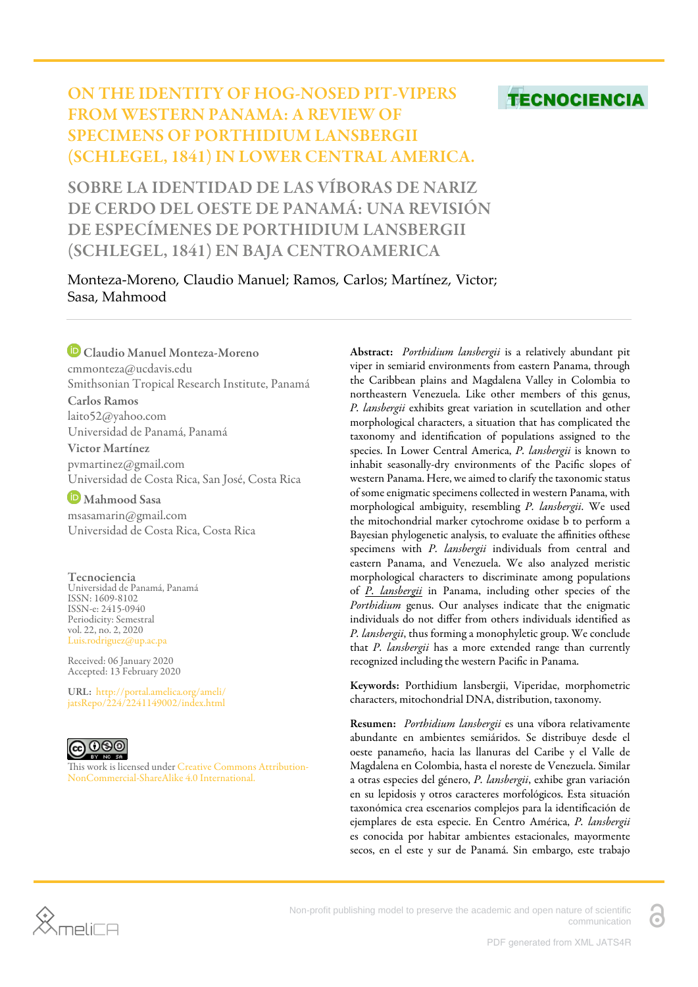# **TECNOCIENCIA**

## ON THE IDENTITY OF HOG-NOSED PIT-VIPERS FROM WESTERN PANAMA: A REVIEW OF SPECIMENS OF PORTHIDIUM LANSBERGII (SCHLEGEL, 1841) IN LOWER CENTRAL AMERICA.

SOBRE LA IDENTIDAD DE LAS VÍBORAS DE NARIZ DE CERDO DEL OESTE DE PANAMÁ: UNA REVISIÓN DE ESPECÍMENES DE PORTHIDIUM LANSBERGII (SCHLEGEL, 1841) EN BAJA CENTROAMERICA

Monteza-Moreno, Claudio Manuel; Ramos, Carlos; Martínez, Victor; Sasa, Mahmood

Claudio Manuel Monteza-Moreno cmmonteza@ucdavis.edu Smithsonian Tropical Research Institute, Panamá Carlos Ramos laito52@yahoo.com Universidad de Panamá, Panamá Victor Martínez

pvmartinez@gmail.com Universidad de Costa Rica, San José, Costa Rica

Mahmood Sasa msasamarin@gmail.com Universidad de Costa Rica, Costa Rica

Tecnociencia Universidad de Panamá, Panamá ISSN: 1609-8102 ISSN-e: 2415-0940 Periodicity: Semestral vol. 22, no. 2, 2020 Luis.rodriguez@up.ac.pa

Received: 06 January 2020 Accepted: 13 February 2020

URL: [http://portal.amelica.org/ameli/](http://portal.amelica.org/ameli/jatsRepo/224/2241149002/index.html) [jatsRepo/224/2241149002/index.html](http://portal.amelica.org/ameli/jatsRepo/224/2241149002/index.html)



This work is licensed under [Creative Commons Attribution-](https://creativecommons.org/licenses/by-nc-sa/4.0/)[NonCommercial-ShareAlike 4.0 International.](https://creativecommons.org/licenses/by-nc-sa/4.0/)

Abstract: *Porthidium lansbergii* is a relatively abundant pit viper in semiarid environments from eastern Panama, through the Caribbean plains and Magdalena Valley in Colombia to northeastern Venezuela. Like other members of this genus, *P. lansbergii* exhibits great variation in scutellation and other morphological characters, a situation that has complicated the taxonomy and identification of populations assigned to the species. In Lower Central America, *P. lansbergii* is known to inhabit seasonally-dry environments of the Pacific slopes of western Panama. Here, we aimed to clarify the taxonomic status of some enigmatic specimens collected in western Panama, with morphological ambiguity, resembling *P. lansbergii*. We used the mitochondrial marker cytochrome oxidase b to perform a Bayesian phylogenetic analysis, to evaluate the affinities of these specimens with *P. lansbergii* individuals from central and eastern Panama, and Venezuela. We also analyzed meristic morphological characters to discriminate among populations of *P. lansbergii* in Panama, including other species of the *Porthidium* genus. Our analyses indicate that the enigmatic individuals do not differ from others individuals identified as *P. lansbergii*, thus forming a monophyletic group. We conclude that *P. lansbergii* has a more extended range than currently recognized including the western Pacific in Panama.

Keywords: Porthidium lansbergii, Viperidae, morphometric characters, mitochondrial DNA, distribution, taxonomy.

Resumen: *Porthidium lansbergii* es una víbora relativamente abundante en ambientes semiáridos. Se distribuye desde el oeste panameño, hacia las llanuras del Caribe y el Valle de Magdalena en Colombia, hasta el noreste de Venezuela. Similar a otras especies del género, *P. lansbergii*, exhibe gran variación en su lepidosis y otros caracteres morfológicos. Esta situación taxonómica crea escenarios complejos para la identificación de ejemplares de esta especie. En Centro América, *P. lansbergii* es conocida por habitar ambientes estacionales, mayormente secos, en el este y sur de Panamá. Sin embargo, este trabajo



Non-profit publishing model to preserve the academic and open nature of scientific communication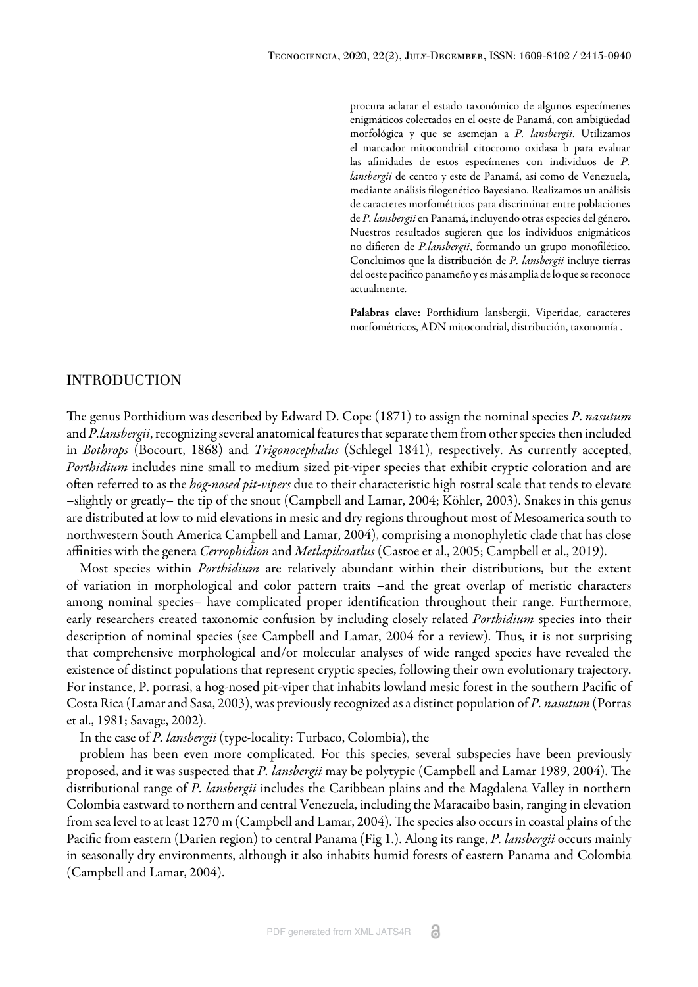procura aclarar el estado taxonómico de algunos especímenes enigmáticos colectados en el oeste de Panamá, con ambigüedad morfológica y que se asemejan a *P. lansbergii*. Utilizamos el marcador mitocondrial citocromo oxidasa b para evaluar las afinidades de estos especímenes con individuos de *P. lansbergii* de centro y este de Panamá, así como de Venezuela, mediante análisis filogenético Bayesiano. Realizamos un análisis de caracteres morfométricos para discriminar entre poblaciones de *P. lansbergii* en Panamá, incluyendo otras especies del género. Nuestros resultados sugieren que los individuos enigmáticos no difieren de *P.lansbergii*, formando un grupo monofilético. Concluimos que la distribución de *P. lansbergii* incluye tierras del oeste pacifico panameño y es más amplia de lo que se reconoce actualmente.

Palabras clave: Porthidium lansbergii, Viperidae, caracteres morfométricos, ADN mitocondrial, distribución, taxonomía .

## INTRODUCTION

e genus Porthidium was described by [Edward D. Cope \(1871\) t](#page-10-0)o assign the nominal species *P*. *nasutum* and *P.lansbergii*, recognizing several anatomical features that separate them from other species then included in *Bothrops* (Bocourt, 1868) and *Trigonocephalus* (Schlegel 1841), respectively. As currently accepted, *Porthidium* includes nine small to medium sized pit-viper species that exhibit cryptic coloration and are often referred to as the *hog-nosed pit-vipers* due to their characteristic high rostral scale that tends to elevate –slightly or greatly– the tip of the snout [\(Campbell and Lamar, 200](#page-11-0)4; [Köhler, 2003\)](#page-11-1). Snakes in this genus are distributed at low to mid elevations in mesic and dry regions throughout most of Mesoamerica south to northwestern South America [Campbell and Lamar, 2004\)](#page-11-0), comprising a monophyletic clade that has close affinities with the genera *Cerrophidion* and *Metlapilcoatlus* [\(Castoe et al., 2005](#page-10-1); [Campbell et al., 2019](#page-10-2)).

Most species within *Porthidium* are relatively abundant within their distributions, but the extent of variation in morphological and color pattern traits –and the great overlap of meristic characters among nominal species– have complicated proper identification throughout their range. Furthermore, early researchers created taxonomic confusion by including closely related *Porthidium* species into their description of nominal species (see Campbell and [Lamar, 2004](#page-11-0) for a review). Thus, it is not surprising that comprehensive morphological and/or molecular analyses of wide ranged species have revealed the existence of distinct populations that represent cryptic species, following their own evolutionary trajectory. For instance, P. porrasi, a hog-nosed pit-viper that inhabits lowland mesic forest in the southern Pacific of Costa Rica (Lamar and Sasa, 2003), was previously recognized as a distinct population of *P. nasutum* [\(Porras](#page-11-2) [et al., 1981;](#page-11-2) [Savage, 2002](#page-11-3)).

In the case of *P. lansbergii* (type-locality: Turbaco, Colombia), the

problem has been even more complicated. For this species, several subspecies have been previously proposed, and it was suspected that *P. lansbergii* may be polytypic [\(Campbell and Lamar 1989,](#page-10-3) [2004](#page-11-0)). The distributional range of *P. lansbergii* includes the Caribbean plains and the Magdalena Valley in northern Colombia eastward to northern and central Venezuela, including the Maracaibo basin, ranging in elevation from sea level to at least 1270 m ([Campbell and Lamar, 2004\)](#page-11-0). The species also occurs in coastal plains of the Pacific from eastern (Darien region) to central Panama [\(Fig 1.](#page-2-0)). Along its range, *P. lansbergii* occurs mainly in seasonally dry environments, although it also inhabits humid forests of eastern Panama and Colombia ([Campbell and Lamar, 2004](#page-11-0)).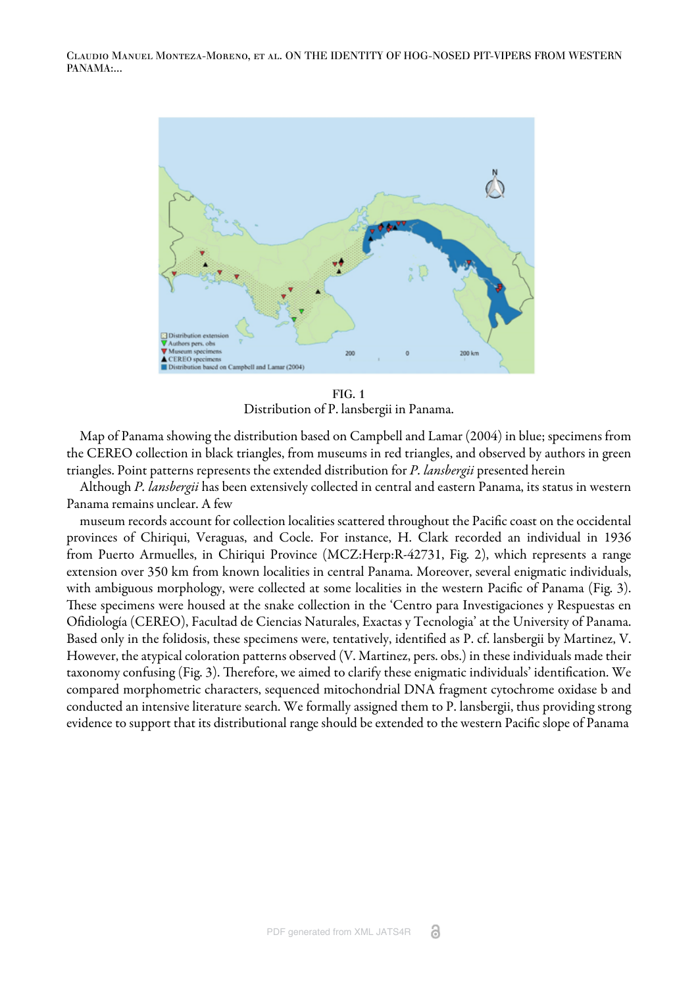<span id="page-2-0"></span>

FIG. 1 Distribution of P. lansbergii in Panama.

Map of Panama showing the distribution based on [Campbell and Lamar \(2004\)](#page-11-0) in blue; specimens from the CEREO collection in black triangles, from museums in red triangles, and observed by authors in green triangles. Point patterns represents the extended distribution for *P. lansbergii* presented herein

Although *P. lansbergii* has been extensively collected in central and eastern Panama, its status in western Panama remains unclear. A few

museum records account for collection localities scattered throughout the Pacific coast on the occidental provinces of Chiriqui, Veraguas, and Cocle. For instance, H. Clark recorded an individual in 1936 from Puerto Armuelles, in Chiriqui Province (MCZ:Herp:R-42731, [Fig. 2\)](#page-3-0), which represents a range extension over 350 km from known localities in central Panama. Moreover, several enigmatic individuals, with ambiguous morphology, were collected at some localities in the western Pacific of Panama [\(Fig. 3](#page-3-1)). These specimens were housed at the snake collection in the 'Centro para Investigaciones y Respuestas en Ofidiología (CEREO), Facultad de Ciencias Naturales, Exactas y Tecnologia' at the University of Panama. Based only in the folidosis, these specimens were, tentatively, identified as P. cf. lansbergii by Martinez, V. However, the atypical coloration patterns observed (V. Martinez, pers. obs.) in these individuals made their taxonomy confusing ([Fig. 3](#page-3-1)). Therefore, we aimed to clarify these enigmatic individuals' identification. We compared morphometric characters, sequenced mitochondrial DNA fragment cytochrome oxidase b and conducted an intensive literature search. We formally assigned them to P. lansbergii, thus providing strong evidence to support that its distributional range should be extended to the western Pacific slope of Panama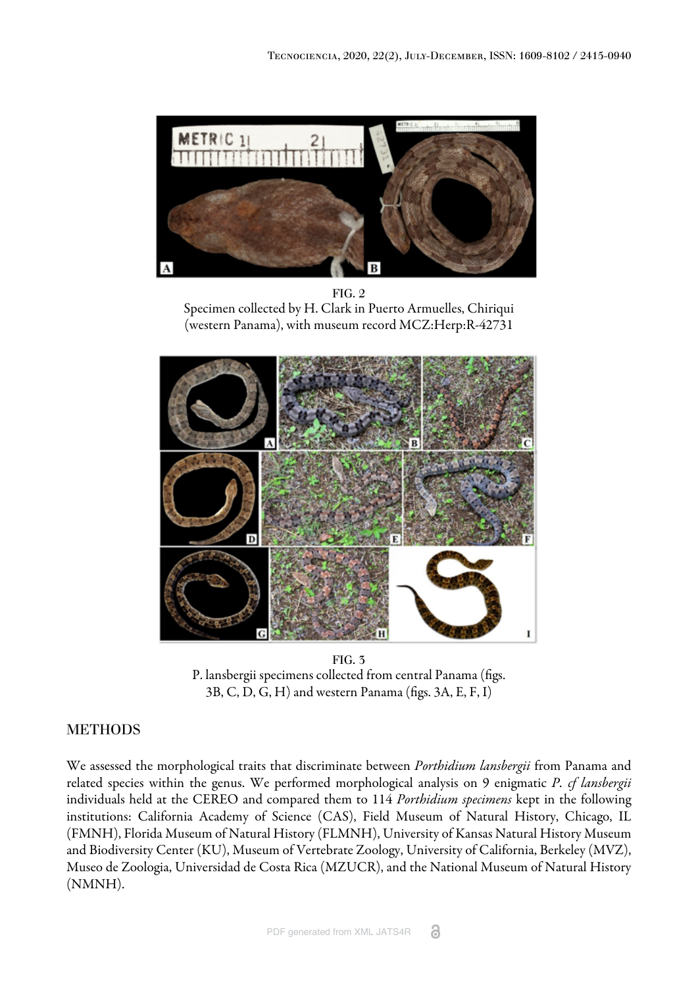<span id="page-3-0"></span>

FIG. 2 Specimen collected by H. Clark in Puerto Armuelles, Chiriqui (western Panama), with museum record MCZ:Herp:R-42731

<span id="page-3-1"></span>

FIG. 3 P. lansbergii specimens collected from central Panama (figs. 3B, C, D, G, H) and western Panama (figs. 3A, E, F, I)

## METHODS

We assessed the morphological traits that discriminate between *Porthidium lansbergii* from Panama and related species within the genus. We performed morphological analysis on 9 enigmatic *P. cf lansbergii* individuals held at the CEREO and compared them to 114 *Porthidium specimens* kept in the following institutions: California Academy of Science (CAS), Field Museum of Natural History, Chicago, IL (FMNH), Florida Museum of Natural History (FLMNH), University of Kansas Natural History Museum and Biodiversity Center (KU), Museum of Vertebrate Zoology, University of California, Berkeley (MVZ), Museo de Zoologia, Universidad de Costa Rica (MZUCR), and the National Museum of Natural History (NMNH).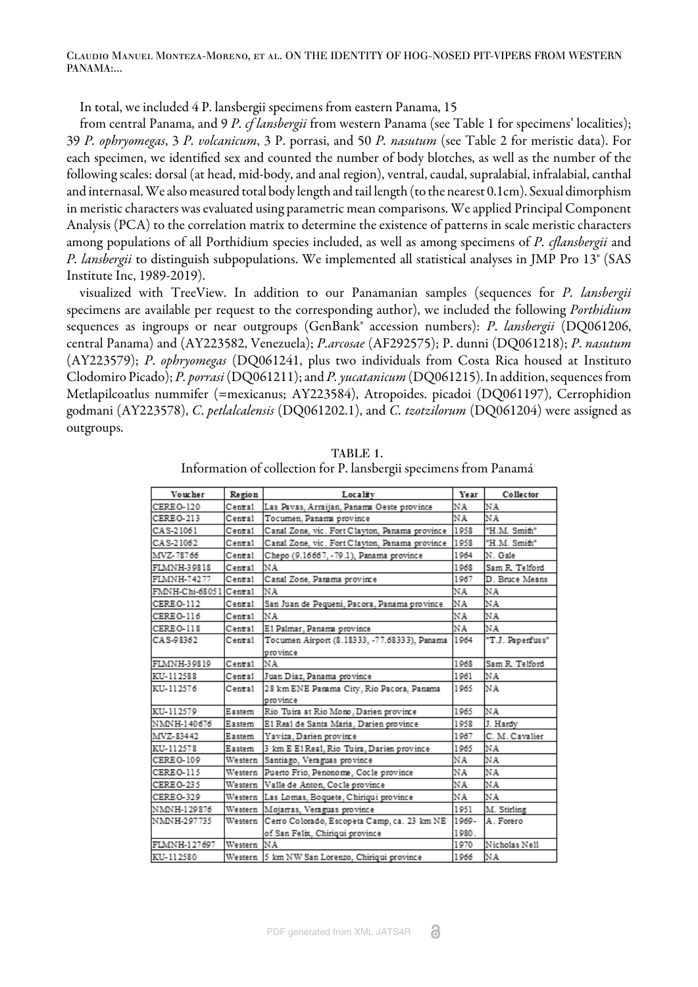Claudio Manuel Monteza-Moreno, et al. ON THE IDENTITY OF HOG-NOSED PIT-VIPERS FROM WESTERN PANAMA:...

In total, we included 4 P. lansbergii specimens from eastern Panama, 15

from central Panama, and 9 *P. cf lansbergii* from western Panama (see [Table 1](#page-4-0) for specimens' localities); 39 *P. ophryomegas*, 3 *P. volcanicum*, 3 P. porrasi, and 50 *P. nasutum* (see Table 2 for meristic data). For each specimen, we identified sex and counted the number of body blotches, as well as the number of the following scales: dorsal (at head, mid-body, and anal region), ventral, caudal, supralabial, infralabial, canthal and internasal. We also measured total body length and tail length (to the nearest 0.1cm). Sexual dimorphism in meristic characters was evaluated using parametric mean comparisons. We applied Principal Component Analysis (PCA) to the correlation matrix to determine the existence of patterns in scale meristic characters among populations of all Porthidium species included, as well as among specimens of *P. cflansbergii* and *P. lansbergii* to distinguish subpopulations. We implemented all statistical analyses in JMP Pro 13® [\(SAS](#page-11-4) [Institute Inc, 1989-2019\).](#page-11-4)

visualized with TreeView. In addition to our Panamanian samples (sequences for *P. lansbergii* specimens are available per request to the corresponding author), we included the following *Porthidium* sequences as ingroups or near outgroups (GenBank® accession numbers): *P*. *lansbergii* (DQ061206, central Panama) and (AY223582, Venezuela); *P.arcosae* (AF292575); P. dunni (DQ061218); *P*. *nasutum* (AY223579); *P*. *ophryomegas* (DQ061241, plus two individuals from Costa Rica housed at Instituto Clodomiro Picado); *P. porrasi* (DQ061211); and *P. yucatanicum* (DQ061215). In addition, sequences from Metlapilcoatlus nummifer (=mexicanus; AY223584), Atropoides. picadoi (DQ061197), Cerrophidion godmani (AY223578), *C*. *petlalcalensis* (DQ061202.1), and *C. tzotzilorum* (DQ061204) were assigned as outgroups.

<span id="page-4-0"></span>

| Voucher                | Region  | Locality                                       | Year  | Collector        |
|------------------------|---------|------------------------------------------------|-------|------------------|
| CEREO-120              | Central | Las Pavas, Arraijan, Panama Oeste province     | NA    | NA               |
| CEREO-213              | Central | Tocumen, Panama province                       | ΝA    | ΝA               |
| CAS-21061              | Central | Canal Zone, vic. Fort Clayton, Panama province | 1958  | "H.M. Smith"     |
| CAS-21062              | Central | Canal Zone, vic. Fort Clayton, Panama province | 1958  | "H.M. Smith"     |
| MVZ-78766              | Central | Chepo (9.16667, -79.1), Panama province        | 1964  | N. Gale          |
| FLMNH-39818            | Central | ΝA                                             | 1968  | Sam R. Telford   |
| FLMNH-74277            | Central | Canal Zone, Panama province                    | 1967  | D. Bruce Means   |
| FMNH-Chi-68051 Central |         | ΝA                                             | ΝA    | ΝA               |
| CEREO-112              | Central | San Juan de Pequeni, Pacora, Panama province   | ΝA    | ΝA               |
| CEREO-116              | Central | ΝA                                             | ΝA    | NA               |
| CEREO-118              | Central | E1 Palmar, Panama province                     | ΝA    | ΝA               |
| CAS-98362              | Central | Tocumen Airport (8.18333, -77.68333), Panama   | 1964  | "T.J. Papenfuss" |
|                        |         | province                                       |       |                  |
| FLMNH-39819            | Central | NA                                             | 1968  | Sam R. Telford   |
| KU-112588              | Central | Juan Diaz, Panama province                     | 1961  | NA               |
| KU-112576              | Central | 28 km ENE Parama City, Rio Pacora, Panama      | 1965  | NA               |
|                        |         | province                                       |       |                  |
| KU-112579              | Eastern | Rio Tuira at Rio Mono, Darien province         | 1965  | NA               |
| NMNH-140676            | Eastern | E1 Rea1 de Santa Maria, Darien province        | 1958  | J. Hardy         |
| MVZ-83442              | Eastern | Yaviza, Darien province                        | 1967  | C. M. Cavalier   |
| KU-112578              | Eastern | 3 km E E1 Real, Rio Tuira, Darien province     | 1965  | ΝA               |
| CEREO-109              | Western | Santiago, Veraguas province                    | ΝA    | ΝA               |
| CEREO-115              | Western | Puerto Frio, Penonome, Cocle province          | ΝA    | ΝA               |
| CEREO-235              | Western | Valle de Anton, Cocle province                 | ΝA    | ΝA               |
| CEREO-329              |         | Western Las Lomas, Boquete, Chiriqui province  | ΝA    | ΝA               |
| NMNH-129876            |         | Western Mojarras, Veraguas province            | 1951  | M. Stirling      |
| NMNH-297735            | Western | Cerro Colorado, Escopeta Camp, ca. 23 km NE    | 1969- | A. Forero        |
|                        |         | of San Felix, Chiriqui province                | 1980. |                  |
| FLMNH-127697           | Western | ΝA                                             | 1970  | Nicholas Nell    |
| KU-112580              |         | Western 5 km NW San Lorenzo, Chiriqui province | 1966  | NA               |

TABLE 1. Information of collection for P. lansbergii specimens from Panamá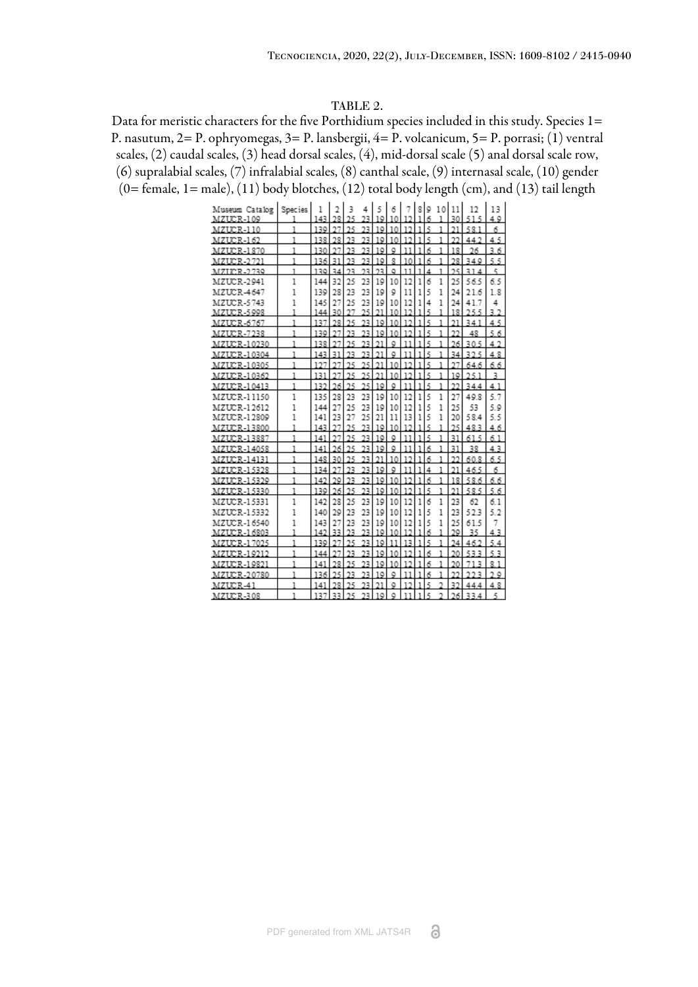#### TABLE 2.

<span id="page-5-0"></span>Data for meristic characters for the five Porthidium species included in this study. Species 1= P. nasutum, 2= P. ophryomegas, 3= P. lansbergii, 4= P. volcanicum, 5= P. porrasi; (1) ventral scales, (2) caudal scales, (3) head dorsal scales, (4), mid-dorsal scale (5) anal dorsal scale row, (6) supralabial scales, (7) infralabial scales, (8) canthal scale, (9) internasal scale, (10) gender (0= female, 1= male), (11) body blotches, (12) total body length (cm), and (13) tail length

| Museum Catalog    | Species | 1   | 2  | 3  | 4  | 5  | 6                       | 7      | 8 9          |    |   | 10 11 | 12                   | 13     |
|-------------------|---------|-----|----|----|----|----|-------------------------|--------|--------------|----|---|-------|----------------------|--------|
| MZUCR-109         |         | 143 | 28 | 25 | 23 | 19 | 10                      | 12     | ı            | 6  | ı | 30    | 515                  | 40     |
| MZUCR-110         | 1       | 130 | 27 | 25 | 23 | 10 | 10                      | 12     | ı            | 5  | 1 | 21    | 581                  | 6      |
| MZUCR-162         | 1       | 138 | 28 | 23 | 23 | 19 | 10                      | 12     | 1            | Ą, | 1 | 22    | 442                  | 4.5    |
| <b>MZUCR-1870</b> | ı       | 130 | 27 | 23 | 23 | 19 | ٥                       | 11     | ı            | 6  | 1 | 18    | 26                   | 36     |
| <b>MZUCR-2721</b> | 1       | 136 | 31 | 23 | 23 | 19 | $\overline{\mathbf{x}}$ | 10     | ı            | 6  | 1 | 28    | 340                  | 5.5    |
| MZICR-2739        | 1       | 130 | 34 | 23 | 23 | 23 | ٥                       | 11     | ı            | 4  | 1 | 25    | 31<br>4              | ç,     |
| MZUCR-2941        | 1       | 144 | 32 | 25 | 23 | 19 | 10                      | 12     | 1            | б  | 1 | 25    | 56.5                 | 6.5    |
| MZUCR-4647        | 1       | 139 | 28 | 23 | 23 | 19 | 9                       | 11     | 1            | 5  | 1 | 24    | 21.6                 | 1.8    |
| MZUCR-5743        | 1       | 145 | 27 | 25 | 23 | 19 | 10                      | 12     | 1            | 4  | 1 | 24    | 41.7                 | 4      |
| MZUCR-5998        | 1       | 144 | 30 | 27 | 25 | 21 | 10                      | 10     | 1            | ą  | 1 | 18    | うらら                  | 32     |
| MZUCR-6767        | 1       | 137 | 28 | 25 | 23 | 10 | 10                      | 12     | 1            | ş, | 1 | 21    | 341                  | 4<br>5 |
| <b>MZUCR-7238</b> | 1       | 130 | 27 | 23 | 23 | 19 | 10                      | 12     | ı            | Ŕ, | ٦ | າາ    | 48                   | 5<br>6 |
| MZUCR-10230       | 1       | 138 | 27 | 25 | 23 | 21 | ٥                       | 11     | ı            | Ę, | ı | 26    | 305                  | 4      |
| MZUCR-10304       | 1       | 143 | 31 | 93 | 23 | 21 | ٥                       | 11     | ı            | ş  | ı | 34    | 325                  | 48     |
| MZUCR-10305       | 1       | 197 |    | 25 | 25 | 21 | 10                      | 12     | ı            | Ę  | ī | 27    | 64.6                 | 66     |
| MZUCR-10362       | 1       | 131 |    | 25 | 25 | 21 | 10                      | 12     | ı            | 5  | 1 | 10    | 251                  | ٦      |
| MZUCR-10413       | ī       | 132 | 26 | 25 | 25 | 19 | ٥                       | 11     | <sub>1</sub> | 5  | ı | 22    | 344                  | 41     |
| MZUCR-11150       | 1       | 135 | 28 | 23 | 23 | 19 | 10                      | 12     | 1            | 5  | 1 | 27    | 498                  | 5.7    |
| MZUCR-12612       | 1       | 144 | 27 | 25 | 23 | 19 | 10                      | 12     | 1            | 5  | 1 | 25    | 53                   | 5.9    |
| MZUCR-12809       | 1       | 141 | 23 | 27 | 25 | 21 | 11                      | 13     | 1            | 5  | 1 | 20    | 584                  | 5.5    |
| MZUCR-13800       | 1       | 143 | 27 | 25 | 23 | 10 | 10                      | 12     | ı            | ş  | 1 | 25    | 483                  | 6<br>4 |
| MZUCR-13887       | 1       | 141 | 97 | 25 | 23 | 19 | ٥                       | 11     | ٦            | ą  | 1 | 31    | 5<br>61              | 6<br>٦ |
| MZUCR-14058       | 1       | 141 | 26 | 25 | 93 | 10 | ٥                       | ٦<br>٦ |              | 6  | 1 | 31    | 38                   | 43     |
| MZUCR-14131       | 1       | 148 | 30 | 25 | 23 | 21 | 10                      | 12     |              | 6  | 1 | 22    | 608                  | 65     |
| MZUCR-15328       | 1       | 134 |    | 23 | 23 | 19 | ٥                       | ٦<br>ı |              | 4  | ٦ | 21    | 465                  | 6      |
| MZUCR-15329       | 1       | 142 | 29 | 23 | 23 | 19 | 10                      | ٦<br>э | ı            | 6  | 1 | 18    | 586                  | 6.6    |
| MZUCR-15330       | 1       | 130 | 26 | 25 | 23 | 19 | 10                      | 12     | ٦            | Ę  | ٦ | 21    | 585                  | 5<br>6 |
| MZUCR-15331       | 1       | 142 | 28 | 25 | 23 | 19 | 10                      | 12     | 1            | б  | 1 | 23    | 62                   | 6.1    |
| MZUCR-15332       | 1       | 140 | 29 | 23 | 23 | 19 | 10                      | 12     | 1            | 5  | 1 | 23    | 523                  | 5.2    |
| MZUCR-16540       | 1       | 143 | 27 | 23 | 23 | 19 | 10                      | 12     | 1            | 5  | 1 | 25    | 61.5                 | 7      |
| MZUCR-16803       | 1       | 142 | 33 | 23 | 23 | 10 | 10                      | 12     | ı            | 6  | 1 | 70    | 35                   | 43     |
| MZUCR-17025       | ٦       | 130 | 27 | 95 | 23 | 19 | 11                      | 13     |              | Ę  |   | 24    | 462                  | 5<br>4 |
| MZUCR-19212       | ı       | 144 |    | 23 | 23 | 19 | 10                      | 12     | ı            | 6  |   | 20    | 533                  | ٩<br>5 |
| MZUCR-19821       | 1       | 141 | 28 | 25 | 23 | 19 | 10                      | 12     | ı            | 6  | 1 | 20    | В<br>٦               | R<br>ı |
| MZUCR-20780       | 1       | 136 | 25 | 23 | 23 | 19 | ٥                       | 11     | ı            | 6  | 1 | 22    | 223                  | າ ວ    |
| MZUCR-41          | 1       | 141 | 2R | ንና | 23 | 21 | ٥                       | 12     | ı            | R, | o | 32    | 44<br>4              | 4 8    |
| MZUCR-308         | 1       | 137 | 33 | 25 | 23 | 10 | ٥                       | 11     | ı            | 5  |   | 26    | 33<br>$\overline{4}$ |        |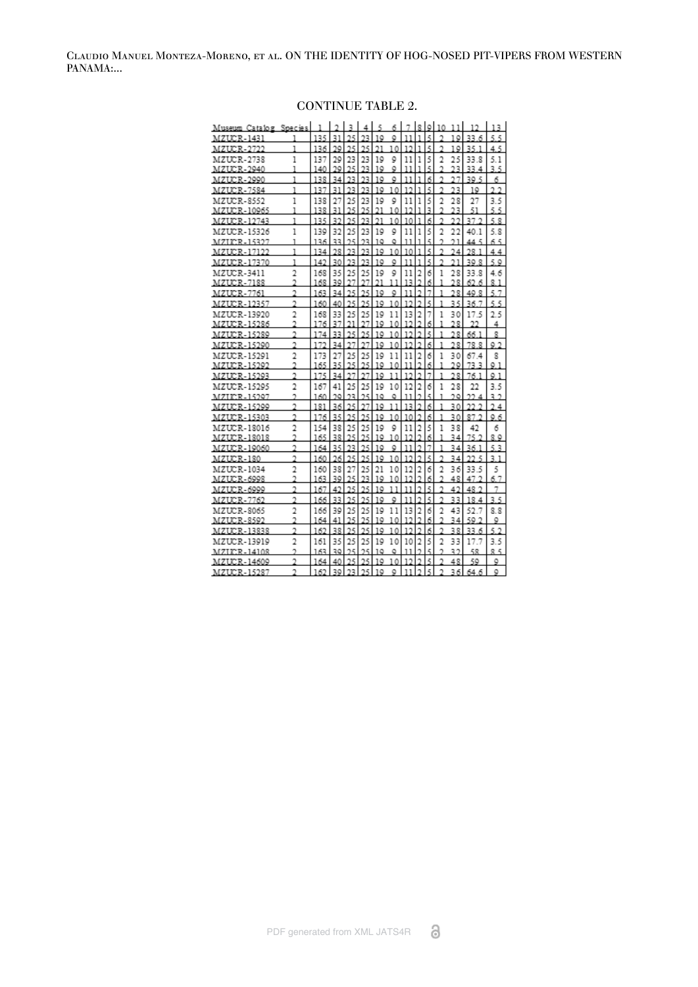| Museum Catalog Species |                |     |    | ٩  |     |    | 6  |    |                | 8 9 | 10             | 11 |          | 3              |
|------------------------|----------------|-----|----|----|-----|----|----|----|----------------|-----|----------------|----|----------|----------------|
| MZUCR-1431             |                | 135 | 31 | 25 | 23  | 10 | Q  | 11 | 1              | 5   |                | 19 | 33.6     | 5.5            |
| MZUCR-2722             | 1              | 136 | 29 | 25 | 25  | 21 | 10 | 12 | ı              | 5   | $\overline{2}$ | 19 | 35.1     | 45             |
| <b>MZUCR-2738</b>      | 1              | 137 | 29 | 23 | 23  | 19 | 9  | 11 | 1              | 5   | $\overline{a}$ | 25 | 33.8     | 5.1            |
| MZUCR-2940             | 1              | 140 | 29 | 25 | 23  | 10 | ٥  | 11 | 1              | 5   |                | 23 | 33<br>4  | 3.5            |
| MZUCR-2990             | 1              | 138 | 34 | 23 | 23  | 10 | 9  | 11 | <sub>1</sub>   | 6   | $\overline{2}$ | 27 | 39.5     | б              |
| <b>MZUCR-7584</b>      | 1              | 137 | 31 | 23 | 23  | 10 | 10 | 12 | ı              | 5   |                | 23 | 10       | າ າ            |
| <b>MZUCR-8552</b>      | 1              | 138 | 27 | 25 | 23  | 19 | 9  | 11 | 1              | 5   | $\overline{2}$ | 28 | 27       | 3.5            |
| MZUCR-10965            | ı              | 138 | 31 | 25 | 25  | 21 | 10 | 12 | ı              | 3   | 2              | 23 | 51       | 5.5            |
| MZUCR-12743            | 1              | 135 | 32 | 25 | 23  | 21 | 10 | 10 | ī              | 6   |                | 22 | 37 9     | 58             |
| MZUCR-15326            | 1              | 139 | 32 | 25 | 23  | 19 | 9  | 11 | 1              | 5   | 2              | 22 | 40.1     | 5.8            |
| MZLCR-15327            | ı              | 136 | 33 | 25 | 23  | 10 | ٥  | 11 | ı              | Ę,  | ŋ,             | 21 | 5<br>44  | 65             |
| MZUCR-17122            | 1              | 134 | 28 | 23 | 23  | 10 | 10 | 10 | ī              | 5   |                | 24 | 28 I     | 44             |
| MZUCR-17370            | 1              | 142 | 30 | 23 | 23  | 10 | ٥  | 11 | ı              | 5   |                | 21 | 30 R     | 50             |
| MZUCR-3411             | $\overline{a}$ | 168 | 35 | 25 | 25  | 19 | 9  | 11 | $\overline{a}$ | б   | 1              | 28 | 33.8     | 4.6            |
| MZUCR-7188             | $\overline{2}$ | 168 | 39 |    | 27  | 21 | 11 | 13 | Ĩ,             | 6   | 1              | 28 | 62<br>6  | 81             |
| MZUCR-7761             | 2              | 163 | 34 | 25 | 25  | 10 | ٥  | 11 | ŋ,             |     |                | 28 | 40 R     | ٢              |
| MZUCR-12357            | $\overline{a}$ | 160 | 40 | 25 | 25  | 10 | 10 | 12 | ŋ,             | 5   | 1              | 35 | 36<br>7  | 5<br>5         |
| MZUCR-13920            | $\overline{2}$ | 168 | 33 | 25 | 25  | 19 | 11 | 13 | $\overline{2}$ | 7   | 1              | 30 | 17.5     | 25             |
| MZUCR-15286            | 2              | 176 | 37 | 21 | 27  | 10 | 10 | 12 | ŋ,             | б   | ı              | 28 | າາ       | 4              |
| MZUCR-15289            | $\overline{2}$ | 174 | 33 | 25 | 25  | 19 | 10 | 12 | ٩              | 5   | 1              | 28 | 66.1     | 8              |
| MZUCR-15290            | $\overline{2}$ | 172 | 34 | 27 | 27  | 10 | 10 | 12 | ž,             | 6   | ı              | 28 | 78.8     | Q <sub>2</sub> |
| MZUCR-15291            | $\overline{2}$ | 173 | 27 | 25 | 25  | 19 | 11 | 11 | 2              | 6   | 1              | 30 | 67.4     | 8              |
| MZUCR-15292            | 2              | 165 | 35 | 25 | 25  | 19 | 10 | 11 | Ĩ.             | 6   | ı              | 29 | 73<br>в  | $Q_1$          |
| MZUCR-15293            | $\overline{2}$ | 175 | 34 | 27 | 97  | 19 | 11 | 12 | <sub>2</sub>   | 7   | 1              | 28 | 76.1     | Q <sub>1</sub> |
| MZUCR-15295            | $\overline{2}$ | 167 | 41 | 25 | 25  | 19 | 10 | 12 | 2              | 6   | 1              | 28 | 22       | 3.5            |
| MZIKR-15297            | 2              | 160 | 20 | 23 | 25  | 10 | ٥  | 11 |                | Ę.  | ı              | 20 | 22<br>4  | 39             |
| MZUCR-15299            | $\overline{2}$ | 181 | 36 | 25 | 27  | 19 | 11 | 13 | ž,             | 6   | 1              | 30 | 22<br>2  | 24             |
| MZUCR-15303            | $\overline{2}$ | 176 | 35 | 25 | 25  | 10 | 10 | 10 | ٩              | 6   | 1              | 30 | 87<br>ŋ, | 06             |
| MZUCR-18016            | $\overline{2}$ | 154 | 38 | 25 | 25  | 19 | 9  | 11 | 2              | 5   | 1              | 38 | 42       | 6              |
| MZUCR-18018            | 2              | 165 | 38 | 25 | 25  | 19 | 10 | 12 | 2              | 6   | 1              | 34 | 75.2     | 89             |
| MZUCR-19060            | $\overline{2}$ | 164 | 35 | 23 | 25  | 10 | ٥  | 11 | h              | 7   | ı              | 34 | 36.1     | 53             |
| MZUCR-180              | 2              | 160 | 26 | 25 | 25  | 19 | 10 | 12 | C)             | 5   | 2              | 34 | 22<br>5  | ٦<br>ı         |
| MZUCR-1034             | $\overline{a}$ | 160 | 38 | 27 | 25  | 21 | 10 | 12 | $\overline{a}$ | 6   | 2              | 36 | 33.5     | 5              |
| MZUCR-6998             | 2              | 163 | 39 | 25 | 23  | 10 | 10 | 12 |                | 6   | 2              | 48 | 47       | 6.7            |
| MZUCR-6999             | $\overline{2}$ | 167 | 42 | 25 | 25  | 19 | 11 | 11 | C)             | 5   | 2              | 42 | 48<br>2  |                |
| MZUCR-7762             | 2              | 166 | 33 | 25 | 25  | 10 | ٥  | 11 | ŋ,             | 5   | $\overline{2}$ | 33 | 18<br>4  | 3.5            |
| <b>MZUCR-8065</b>      | $\overline{2}$ | 166 | 39 | 25 | 25  | 19 | 11 | 13 | $\overline{2}$ | 6   | 2              | 43 | 52.7     | 8.8            |
| MZUCR-8592             | $\overline{2}$ | 164 | 41 | 25 | 25  | 10 | 10 | 12 | Ĩ.             | 6   | 2              | 34 | 50.2     | ٥              |
| MZUCR-13838            | $\overline{a}$ | 162 | 38 | 25 | 25  | 19 | 10 | 12 | h              | 6   | $\overline{2}$ | 38 | 33.6     | 5.2            |
| MZUCR-13919            | $\overline{2}$ | 161 | 35 | 25 | 25  | 19 | 10 | 10 | 2              | 5   | 2              | 33 | 17.7     | 3.5            |
| $MZIX:R-1410R$         | ŋ,             | 163 | 30 | 25 | 25  | 10 | ٥  | 11 | ŋ,             | ş,  | ŋ,             | 39 | 58       | 贝片             |
| MZUCR-14609            | 2              | 164 | 40 | 25 | 25  | 19 | 10 | 12 | h              | 5   |                | 48 | 50       | ٥              |
| MZUCR-15287            | $\overline{2}$ | 162 | 30 | 23 | 25. | 10 | ٥  | 11 | ŋ,             | 5.  | $\overline{2}$ | 36 | 64.6     | ٥              |

## CONTINUE TABLE 2.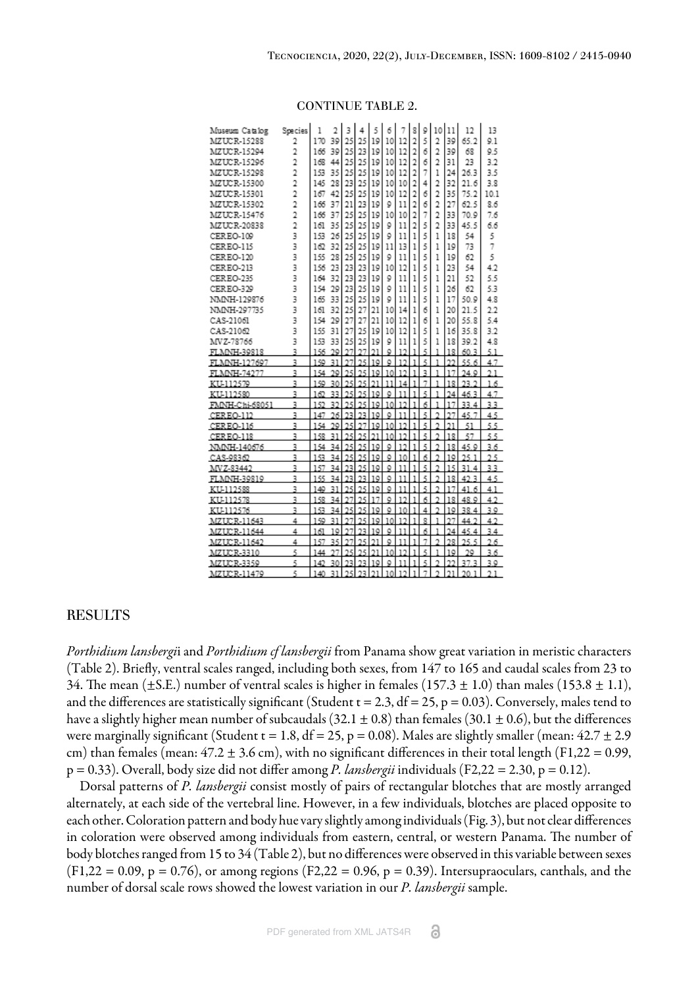| Museum Catalog | Species        | 1   | 2  | 3  | 4  | 5  | б  |         | 8              | 9 | 10             | 11      | 12                    | 13   |
|----------------|----------------|-----|----|----|----|----|----|---------|----------------|---|----------------|---------|-----------------------|------|
| MZUCR-15288    | $\overline{2}$ | 170 | 39 | 25 | 25 | 19 | 10 | 12      | $\overline{2}$ | 5 | $\overline{2}$ | 39      | 65.2                  | 9.1  |
| MZUCR-15294    | $\overline{2}$ | 166 | 39 | 25 | 23 | 19 | 10 | 12      | $\overline{a}$ | 6 | $\overline{2}$ | 39      | 68                    | 9.5  |
| MZUCR-15296    | $\overline{a}$ | 168 | 44 | 25 | 25 | 19 | 10 | 12      | $\overline{a}$ | 6 | $\overline{2}$ | 31      | 23                    | 32   |
| MZUCR-15298    | $\overline{2}$ | 153 | 35 | 25 | 25 | 19 | 10 | 12      | $\overline{2}$ | 7 | 1              | 24      | 26.3                  | 3.5  |
| MZUCR-15300    | $\overline{2}$ | 145 | 28 | 23 | 25 | 19 | 10 | 10      | $\overline{2}$ | 4 | $\overline{a}$ | 32      | 21.6                  | 3.8  |
| MZUCR-15301    | $\overline{2}$ | 167 | 42 | 25 | 25 | 19 | 10 | 12      | $\overline{2}$ | 6 | $\overline{2}$ | 35      | 75.2                  | 10.1 |
| MZUCR-15302    | $\overline{2}$ | 166 | 37 | 21 | 23 | 19 | 9  | 11      | $\overline{a}$ | б | $\overline{2}$ | 27      | 62.5                  | 8.6  |
| MZUCR-15476    | $\overline{2}$ | 166 | 37 | 25 | 25 | 19 | 10 | 10      | $\overline{2}$ | 7 | $\overline{2}$ | 33      | 70.9                  | 7.6  |
| MZUCR-20838    | $\overline{a}$ | 161 | 35 | 25 | 25 | 19 | 9  | 11      | $\overline{2}$ | 5 | $\overline{2}$ | 33      | 45.5                  | 6.6  |
| CEREO-109      | 3              | 153 | 26 | 25 | 25 | 19 | 9  | 11      | 1              | 5 | 1              | 18      | 54                    | 5    |
| CEREO-115      | 3              | 162 | 32 | 25 | 25 | 19 | 11 | 13      | 1              | 5 | 1              | 19      | 73                    | 7    |
| CEREO-120      | 3              | 155 | 28 | 25 | 25 | 19 | 9  | 11      | 1              | 5 | 1              | 19      | 62                    | 5    |
| CEREO-213      | 3              | 156 | 23 | 23 | 23 | 19 | 10 | 12      | 1              | 5 | 1              | 23      | 54                    | 4.2  |
| CEREO-235      | 3              | 164 | 32 | 23 | 23 | 19 | 9  | 11      | 1              | 5 | 1              | 21      | 52                    | 5.5  |
| CEREO-329      | 3              | 154 | 29 | 23 | 25 | 19 | 9  | 11      | 1              | 5 | 1              | 26      | 62                    | 5.3  |
| NMNH-129876    | 3              | 165 | 33 | 25 | 25 | 19 | 9  | 11      | 1              | 5 | 1              | 17      | 50.9                  | 4.8  |
| NMNH-297735    | 3              | 161 | 32 | 25 | 27 | 21 | 10 | 14      | 1              | 6 | 1              | 20      | 21.5                  | 22   |
| CAS-21061      | 3              | 154 | 29 | 27 | 27 | 21 | 10 | 12      | 1              | 6 | 1              | 20      | 55.8                  | 54   |
| CAS-21062      | 3              | 155 | 31 | 27 | 25 | 19 | 10 | 12      | 1              | 5 | 1              | 16      | 35.8                  | 3.2  |
| MVZ-78766      | 3              | 153 | 33 | 25 | 25 | 19 | 9  | 11      | 1              | 5 | 1              | 18      | 39.2                  | 4.8  |
| FLMNH-39818    | 3              | 156 | 29 | 27 | 27 | 21 | ٥  | 12      | ı              | 5 | ī              | 18      | 60.3                  | 51   |
| FLMNH-127697   | 3              | 150 | 31 | 27 | 25 | 19 | ٥  | 12      | ı              | 5 | ī              | 22      | 55.6                  | 47   |
| FLMNH-74277    | 3              | 154 | 20 | 25 | 25 | 10 | 10 | 12      | ı              | ٩ | ī              | 17      | 74 Q                  | 2.1  |
| KU-112579      | 3              | 150 | 30 | 25 | 25 | 21 | 11 | 14      | ı              | 7 | ı              | 18      | 23<br>$\mathcal{I}$   | 16   |
| KU-112580      | 3              | 162 | 33 | 25 | 25 | 19 | ٥  | 11      | ı              | 5 | ı              | 24      | 46.3                  | 4.7  |
| FMNH-Chi-68051 | 3              | 152 | 32 | 25 | 25 | 19 | 10 | 12      | ı              | 6 | ı              | 17      | 33<br>4               | 3.3  |
| CEREO-112      | 3              | 147 | 26 | 23 | 23 | 19 | ٥  | 11      | ı              | ş | Ĩ.             | 27      | 45.<br>7              | 4.5  |
| CEREO-116      | 3              | 154 | 29 | 25 | 27 | 19 | 10 | 12      | ı              | 5 | $\overline{2}$ | 21      | 51                    | 5.5  |
| CEREO-118      | 3              | 158 | 31 | 25 | 25 | 21 | 10 | 12      | ı              | 5 | $\overline{2}$ | 18      | 57                    | 5.5  |
| NMNH-140676    | 3              | 154 | 34 | 25 | 25 | 19 | ٥  | 12      | ı              | 5 | $\overline{2}$ | 18      | 45.9                  | 36   |
| CAS-98362      | 3              | 153 | 34 | 25 | 25 | 19 | ٥  | 10      | ı              | 6 | $\overline{2}$ | 19      | 25<br>ı               | 25   |
| MVZ-83442      | 3              | 157 | 34 | 23 | 25 | 19 | Q  | 11      | I.             | 5 | $\overline{a}$ | 15      | 31<br>4               | 3.3  |
| FLMNH-39819    | 3              | 155 | 34 | 23 | 23 | 19 | ٥  | 11      | ı              | 5 | $\overline{2}$ | 18      | 42<br>3               | 4.5  |
| KU-112588      | 3              | 149 | 31 | 25 | 25 | 19 | Q  | 11      | ı              | 5 | ŋ,             | 17      | 41<br>6               | 4.1  |
| KU-112578      | 3              | 158 | 34 | 27 | 25 | 17 | ٥  | 12      | ı              | 6 | $\overline{2}$ | 18      | 48.9                  | 4.2  |
| KU-112576      | 3              | 153 | 34 | 25 | 25 | 19 | ٥  | 10      | ı              | 4 | $\overline{2}$ | 19      | 38.4                  | 3.9  |
| MZUCR-11643    | 4              | 150 | 31 | 27 | 25 | 19 | 10 | 12      | ı              | 8 | ı              | 27      | 44<br>2               | 4.2  |
| MZUCR-11644    | 4              | 161 | 19 | 27 | 23 | 19 | ٥  | 11      | ı              | 6 | 1              | 24      | 45.<br>$\overline{4}$ | 3.4  |
| MZUCR-11642    | 4              | 157 | 35 | 27 | 25 | 21 | Q  | 11      | ı              | 7 | $\overline{2}$ | 28      | 25<br>5               | 26   |
| MZUCR-3310     | 5              | 144 | 27 | 25 | 25 | 21 | 10 | 12      | ı              | 5 | 1              | 19      | 70                    | 3.6  |
| MZUCR-3359     | 5              | 142 | 30 | 23 | 23 | 19 | Q  | 11      | 1              | 5 | $\overline{a}$ | $^{22}$ | 37.3                  | 3.9  |
| MZUCR-11479    | Ŕ,             | 140 | 31 | 25 | 23 | 21 |    | 10 12 1 |                | 7 | $\overline{2}$ | 21.     | 20<br>$\mathbf{L}$    | 21   |

#### CONTINUE TABLE 2.

#### **RESULTS**

*Porthidium lansbergi*i and *Porthidium cf lansbergii* from Panama show great variation in meristic characters ([Table 2](#page-5-0)). Briefly, ventral scales ranged, including both sexes, from 147 to 165 and caudal scales from 23 to 34. The mean ( $\pm$ S.E.) number of ventral scales is higher in females (157.3  $\pm$  1.0) than males (153.8  $\pm$  1.1), and the differences are statistically significant (Student  $t = 2.3$ ,  $df = 25$ ,  $p = 0.03$ ). Conversely, males tend to have a slightly higher mean number of subcaudals (32.1  $\pm$  0.8) than females (30.1  $\pm$  0.6), but the differences were marginally significant (Student t = 1.8, df = 25, p = 0.08). Males are slightly smaller (mean:  $42.7 \pm 2.9$ cm) than females (mean:  $47.2 \pm 3.6$  cm), with no significant differences in their total length (F1,22 = 0.99, p = 0.33). Overall, body size did not differ among *P. lansbergii* individuals (F2,22 = 2.30, p = 0.12).

Dorsal patterns of *P. lansbergii* consist mostly of pairs of rectangular blotches that are mostly arranged alternately, at each side of the vertebral line. However, in a few individuals, blotches are placed opposite to each other. Coloration pattern and body hue vary slightly among individuals ([Fig. 3\)](#page-3-1), but not clear differences in coloration were observed among individuals from eastern, central, or western Panama. The number of body blotches ranged from 15 to 34 [\(Table 2](#page-5-0)), but no differences were observed in this variable between sexes  $(F1,22 = 0.09, p = 0.76)$ , or among regions  $(F2,22 = 0.96, p = 0.39)$ . Intersupraoculars, canthals, and the number of dorsal scale rows showed the lowest variation in our *P. lansbergii* sample.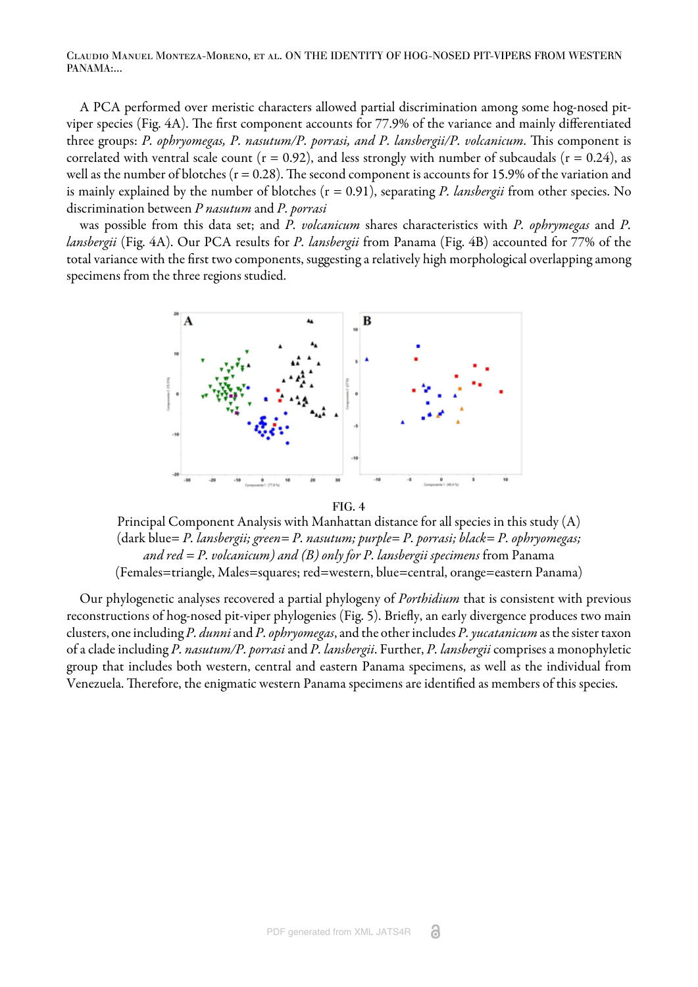Claudio Manuel Monteza-Moreno, et al. ON THE IDENTITY OF HOG-NOSED PIT-VIPERS FROM WESTERN PANAMA:...

A PCA performed over meristic characters allowed partial discrimination among some hog-nosed pit-viper species ([Fig. 4A](#page-8-0)). The first component accounts for 77.9% of the variance and mainly differentiated three groups: *P. ophryomegas, P. nasutum/P. porrasi, and P. lansbergii/P. volcanicum*. This component is correlated with ventral scale count ( $r = 0.92$ ), and less strongly with number of subcaudals ( $r = 0.24$ ), as well as the number of blotches ( $r = 0.28$ ). The second component is accounts for 15.9% of the variation and is mainly explained by the number of blotches (r = 0.91), separating *P. lansbergii* from other species. No discrimination between *P nasutum* and *P. porrasi*

<span id="page-8-0"></span>was possible from this data set; and *P. volcanicum* shares characteristics with *P. ophrymegas* and *P. lansbergii* [\(Fig. 4A](#page-8-0)). Our PCA results for *P. lansbergii* from Panama ([Fig. 4B\)](#page-8-0) accounted for 77% of the total variance with the first two components, suggesting a relatively high morphological overlapping among specimens from the three regions studied.



FIG. 4

Principal Component Analysis with Manhattan distance for all species in this study (A) (dark blue= *P. lansbergii; green= P. nasutum; purple= P. porrasi; black= P. ophryomegas; and red = P. volcanicum) and (B) only for P. lansbergii specimens* from Panama (Females=triangle, Males=squares; red=western, blue=central, orange=eastern Panama)

Our phylogenetic analyses recovered a partial phylogeny of *Porthidium* that is consistent with previous reconstructions of hog-nosed pit-viper phylogenies ([Fig. 5\)](#page-9-0). Briefly, an early divergence produces two main clusters, one including *P. dunni* and *P. ophryomegas*, and the other includes *P. yucatanicum* as the sister taxon of a clade including *P. nasutum/P. porrasi* and *P. lansbergii*. Further, *P. lansbergii* comprises a monophyletic group that includes both western, central and eastern Panama specimens, as well as the individual from Venezuela. Therefore, the enigmatic western Panama specimens are identified as members of this species.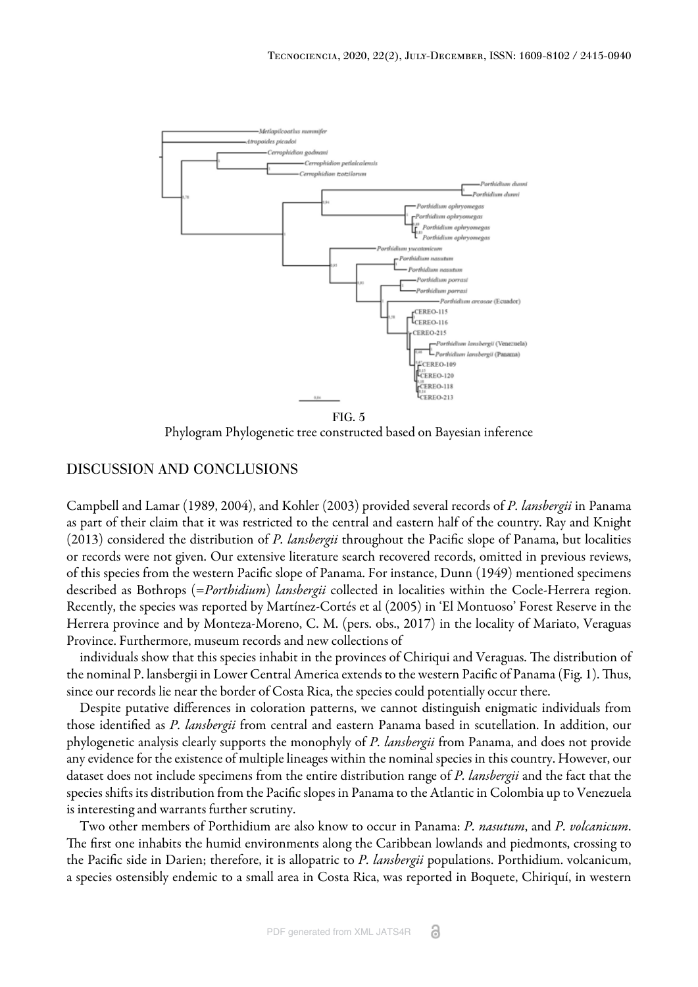<span id="page-9-0"></span>

Phylogram Phylogenetic tree constructed based on Bayesian inference

## DISCUSSION AND CONCLUSIONS

[Campbell and Lamar \(1989](#page-10-3), [2004\)](#page-11-0), and [Kohler \(2003\)](#page-11-1) provided several records of *P. lansbergii* in Panama as part of their claim that it was restricted to the central and eastern half of the country. [Ray and Knight](#page-11-5) [\(2013\) c](#page-11-5)onsidered the distribution of *P. lansbergii* throughout the Pacific slope of Panama, but localities or records were not given. Our extensive literature search recovered records, omitted in previous reviews, of this species from the western Pacific slope of Panama. For instance, [Dunn \(1949\)](#page-10-4) mentioned specimens described as Bothrops (=*Porthidium*) *lansbergii* collected in localities within the Cocle-Herrera region. Recently, the species was reported by [Martínez-Cortés et al \(2005\)](#page-11-6) in 'El Montuoso' Forest Reserve in the Herrera province and by Monteza-Moreno, C. M. (pers. obs., 2017) in the locality of Mariato, Veraguas Province. Furthermore, museum records and new collections of

individuals show that this species inhabit in the provinces of Chiriqui and Veraguas. The distribution of the nominal P. lansbergii in Lower Central America extends to the western Pacific of Panama [\(Fig. 1](#page-2-0)). Thus, since our records lie near the border of Costa Rica, the species could potentially occur there.

Despite putative differences in coloration patterns, we cannot distinguish enigmatic individuals from those identified as *P. lansbergii* from central and eastern Panama based in scutellation. In addition, our phylogenetic analysis clearly supports the monophyly of *P. lansbergii* from Panama, and does not provide any evidence for the existence of multiple lineages within the nominal species in this country. However, our dataset does not include specimens from the entire distribution range of *P. lansbergii* and the fact that the species shifts its distribution from the Pacific slopes in Panama to the Atlantic in Colombia up to Venezuela is interesting and warrants further scrutiny.

Two other members of Porthidium are also know to occur in Panama: *P. nasutum*, and *P. volcanicum*. The first one inhabits the humid environments along the Caribbean lowlands and piedmonts, crossing to the Pacific side in Darien; therefore, it is allopatric to *P. lansbergii* populations. Porthidium. volcanicum, a species ostensibly endemic to a small area in Costa Rica, was reported in Boquete, Chiriquí, in western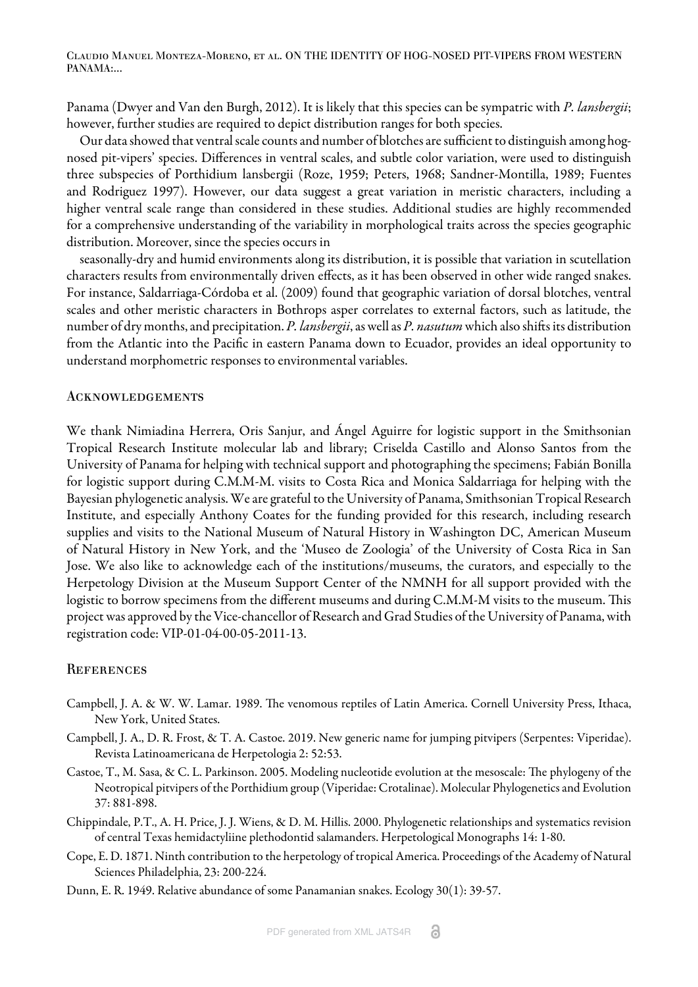Claudio Manuel Monteza-Moreno, et al. ON THE IDENTITY OF HOG-NOSED PIT-VIPERS FROM WESTERN PANAMA:...

Panama ([Dwyer and Van den Burgh, 2012\)](#page-11-7). It is likely that this species can be sympatric with *P. lansbergii*; however, further studies are required to depict distribution ranges for both species.

Our data showed that ventral scale counts and number of blotches are sufficient to distinguish among hognosed pit-vipers' species. Differences in ventral scales, and subtle color variation, were used to distinguish three subspecies of Porthidium lansbergii ([Roze, 1959;](#page-11-8) Peters, 1968; [Sandner-Montilla, 1989;](#page-11-9) [Fuentes](#page-11-10) [and Rodriguez 1997](#page-11-10)). However, our data suggest a great variation in meristic characters, including a higher ventral scale range than considered in these studies. Additional studies are highly recommended for a comprehensive understanding of the variability in morphological traits across the species geographic distribution. Moreover, since the species occurs in

seasonally-dry and humid environments along its distribution, it is possible that variation in scutellation characters results from environmentally driven effects, as it has been observed in other wide ranged snakes. For instance, [Saldarriaga-Córdoba et al. \(2009\)](#page-11-11) found that geographic variation of dorsal blotches, ventral scales and other meristic characters in Bothrops asper correlates to external factors, such as latitude, the number of dry months, and precipitation. P. lansbergii, as well as P. nasutum which also shifts its distribution from the Atlantic into the Pacific in eastern Panama down to Ecuador, provides an ideal opportunity to understand morphometric responses to environmental variables.

#### **ACKNOWLEDGEMENTS**

We thank Nimiadina Herrera, Oris Sanjur, and Ángel Aguirre for logistic support in the Smithsonian Tropical Research Institute molecular lab and library; Criselda Castillo and Alonso Santos from the University of Panama for helping with technical support and photographing the specimens; Fabián Bonilla for logistic support during C.M.M-M. visits to Costa Rica and Monica Saldarriaga for helping with the Bayesian phylogenetic analysis. We are grateful to the University of Panama, Smithsonian Tropical Research Institute, and especially Anthony Coates for the funding provided for this research, including research supplies and visits to the National Museum of Natural History in Washington DC, American Museum of Natural History in New York, and the 'Museo de Zoologia' of the University of Costa Rica in San Jose. We also like to acknowledge each of the institutions/museums, the curators, and especially to the Herpetology Division at the Museum Support Center of the NMNH for all support provided with the logistic to borrow specimens from the different museums and during C.M.M-M visits to the museum. This project was approved by the Vice-chancellor of Research and Grad Studies of the University of Panama, with registration code: VIP-01-04-00-05-2011-13.

#### **REFERENCES**

- <span id="page-10-3"></span>Campbell, J. A. & W. W. Lamar. 1989. The venomous reptiles of Latin America. Cornell University Press, Ithaca, New York, United States.
- <span id="page-10-2"></span>Campbell, J. A., D. R. Frost, & T. A. Castoe. 2019. New generic name for jumping pitvipers (Serpentes: Viperidae). Revista Latinoamericana de Herpetologia 2: 52:53.
- <span id="page-10-1"></span>Castoe, T., M. Sasa, & C. L. Parkinson. 2005. Modeling nucleotide evolution at the mesoscale: The phylogeny of the Neotropical pitvipers of the Porthidium group (Viperidae: Crotalinae). Molecular Phylogenetics and Evolution 37: 881-898.
- Chippindale, P.T., A. H. Price, J. J. Wiens, & D. M. Hillis. 2000. Phylogenetic relationships and systematics revision of central Texas hemidactyliine plethodontid salamanders. Herpetological Monographs 14: 1-80.
- <span id="page-10-0"></span>Cope, E. D. 1871. Ninth contribution to the herpetology of tropical America. Proceedings of the Academy of Natural Sciences Philadelphia, 23: 200-224.
- <span id="page-10-4"></span>Dunn, E. R. 1949. Relative abundance of some Panamanian snakes. Ecology 30(1): 39-57.